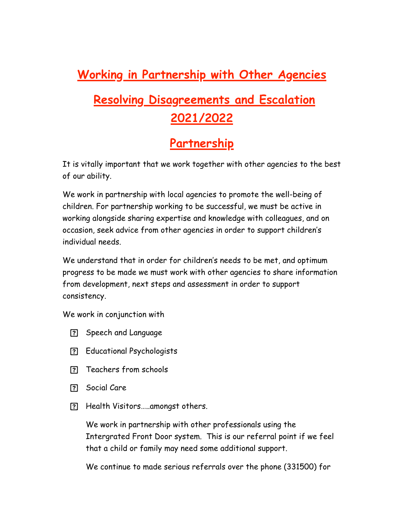## **Working in Partnership with Other Agencies**

# **Resolving Disagreements and Escalation 2021/2022**

### **Partnership**

It is vitally important that we work together with other agencies to the best of our ability.

We work in partnership with local agencies to promote the well-being of children. For partnership working to be successful, we must be active in working alongside sharing expertise and knowledge with colleagues, and on occasion, seek advice from other agencies in order to support children's individual needs.

We understand that in order for children's needs to be met, and optimum progress to be made we must work with other agencies to share information from development, next steps and assessment in order to support consistency.

We work in conjunction with

- Speech and Language
- Educational Psychologists
- Teachers from schools
- Social Care
- Health Visitors…..amongst others.

We work in partnership with other professionals using the Intergrated Front Door system. This is our referral point if we feel that a child or family may need some additional support.

We continue to made serious referrals over the phone (331500) for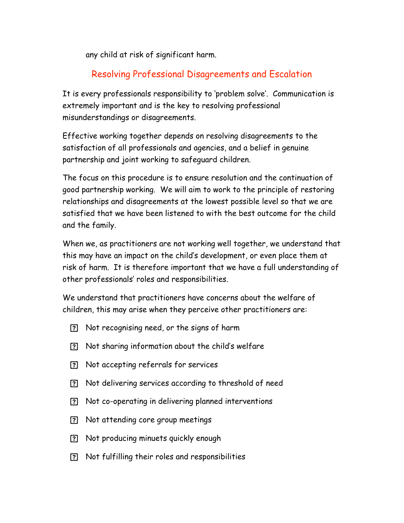any child at risk of significant harm.

### Resolving Professional Disagreements and Escalation

It is every professionals responsibility to 'problem solve'. Communication is extremely important and is the key to resolving professional misunderstandings or disagreements.

Effective working together depends on resolving disagreements to the satisfaction of all professionals and agencies, and a belief in genuine partnership and joint working to safeguard children.

The focus on this procedure is to ensure resolution and the continuation of good partnership working. We will aim to work to the principle of restoring relationships and disagreements at the lowest possible level so that we are satisfied that we have been listened to with the best outcome for the child and the family.

When we, as practitioners are not working well together, we understand that this may have an impact on the child's development, or even place them at risk of harm. It is therefore important that we have a full understanding of other professionals' roles and responsibilities.

We understand that practitioners have concerns about the welfare of children, this may arise when they perceive other practitioners are:

- Not recognising need, or the signs of harm
- Not sharing information about the child's welfare
- Not accepting referrals for services
- Not delivering services according to threshold of need
- Not co-operating in delivering planned interventions
- Not attending core group meetings
- Not producing minuets quickly enough
- Not fulfilling their roles and responsibilities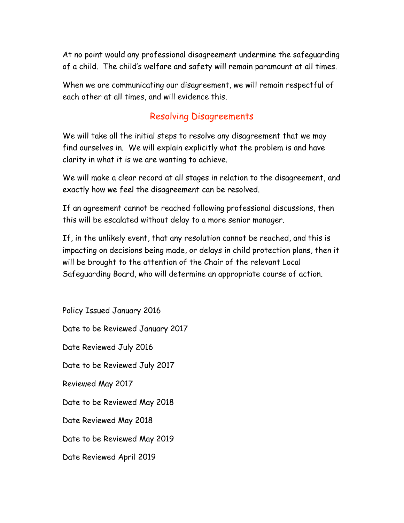At no point would any professional disagreement undermine the safeguarding of a child. The child's welfare and safety will remain paramount at all times.

When we are communicating our disagreement, we will remain respectful of each other at all times, and will evidence this.

#### Resolving Disagreements

We will take all the initial steps to resolve any disagreement that we may find ourselves in. We will explain explicitly what the problem is and have clarity in what it is we are wanting to achieve.

We will make a clear record at all stages in relation to the disagreement, and exactly how we feel the disagreement can be resolved.

If an agreement cannot be reached following professional discussions, then this will be escalated without delay to a more senior manager.

If, in the unlikely event, that any resolution cannot be reached, and this is impacting on decisions being made, or delays in child protection plans, then it will be brought to the attention of the Chair of the relevant Local Safeguarding Board, who will determine an appropriate course of action.

Policy Issued January 2016 Date to be Reviewed January 2017 Date Reviewed July 2016 Date to be Reviewed July 2017 Reviewed May 2017 Date to be Reviewed May 2018 Date Reviewed May 2018 Date to be Reviewed May 2019 Date Reviewed April 2019